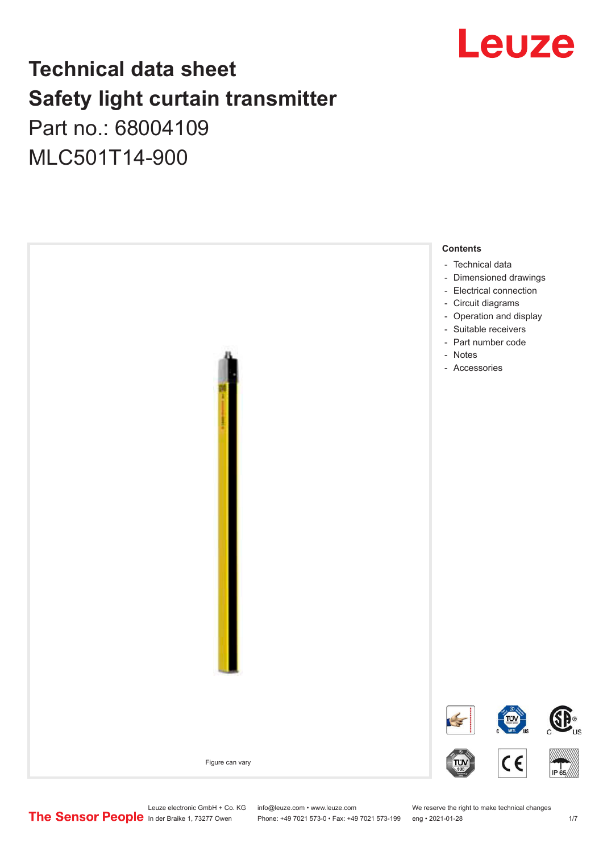

# **Technical data sheet Safety light curtain transmitter** Part no.: 68004109

MLC501T14-900



Leuze electronic GmbH + Co. KG info@leuze.com • www.leuze.com We reserve the right to make technical changes<br>
The Sensor People in der Braike 1, 73277 Owen Phone: +49 7021 573-0 • Fax: +49 7021 573-199 eng • 2021-01-28

Phone: +49 7021 573-0 • Fax: +49 7021 573-199 eng • 2021-01-28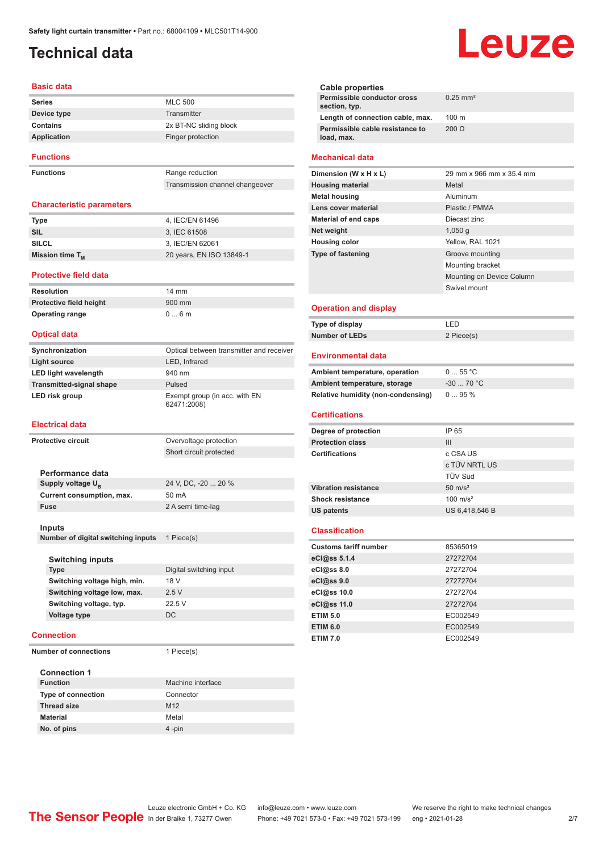# <span id="page-1-0"></span>**Technical data**

#### **Basic data**

| <b>Series</b>    | <b>MLC 500</b>         |
|------------------|------------------------|
| Device type      | Transmitter            |
| Contains         | 2x BT-NC sliding block |
| Application      | Finger protection      |
| <b>Functions</b> |                        |

**Functions** Range reduction

#### Transmission channel changeover

#### **Characteristic parameters**

| Type                 | 4. IEC/EN 61496          |
|----------------------|--------------------------|
| SIL                  | 3. IEC 61508             |
| SILCL                | 3. IEC/EN 62061          |
| Mission time $T_{M}$ | 20 years, EN ISO 13849-1 |

#### **Protective field data**

**Resolution** 14 mm **Protective field height** 900 mm **Operating range** 0 ... 6 m

#### **Optical data**

| Synchronization                 | Optical between transmitter and receiver     |
|---------------------------------|----------------------------------------------|
| <b>Light source</b>             | LED, Infrared                                |
| <b>LED light wavelength</b>     | 940 nm                                       |
| <b>Transmitted-signal shape</b> | Pulsed                                       |
| LED risk group                  | Exempt group (in acc. with EN<br>62471:2008) |

#### **Electrical data**

| <b>Protective circuit</b>          | Overvoltage protection  |
|------------------------------------|-------------------------|
|                                    | Short circuit protected |
|                                    |                         |
| Performance data                   |                         |
| Supply voltage U <sub>B</sub>      | 24 V, DC, -20  20 %     |
| Current consumption, max.          | $50 \text{ mA}$         |
| <b>Fuse</b>                        | 2 A semi time-lag       |
|                                    |                         |
| Inputs                             |                         |
| Number of digital switching inputs | 1 Piece(s)              |
|                                    |                         |
| <b>Switching inputs</b>            |                         |
| <b>Type</b>                        | Digital switching input |
| Switching voltage high, min.       | 18 V                    |
| Switching voltage low, max.        | 2.5V                    |
| Switching voltage, typ.            | 22.5 V                  |
| <b>Voltage type</b>                | DC.                     |
|                                    |                         |
| Connection                         |                         |

**Number of connections** 1 Piece(s)

| <b>Connection 1</b>       |                   |  |
|---------------------------|-------------------|--|
| <b>Function</b>           | Machine interface |  |
| <b>Type of connection</b> | Connector         |  |
| <b>Thread size</b>        | M <sub>12</sub>   |  |
| <b>Material</b>           | Metal             |  |
| No. of pins               | $4$ -pin          |  |

# Leuze

| $0.25$ mm <sup>2</sup> |
|------------------------|
| $100 \text{ m}$        |
| $200 \Omega$           |
|                        |

#### **Mechanical data**

| Dimension (W x H x L)       | 29 mm x 966 mm x 35.4 mm  |
|-----------------------------|---------------------------|
| <b>Housing material</b>     | Metal                     |
| <b>Metal housing</b>        | Aluminum                  |
| Lens cover material         | Plastic / PMMA            |
| <b>Material of end caps</b> | Diecast zinc              |
| Net weight                  | $1,050$ q                 |
| <b>Housing color</b>        | Yellow, RAL 1021          |
| <b>Type of fastening</b>    | Groove mounting           |
|                             | Mounting bracket          |
|                             | Mounting on Device Column |
|                             | Swivel mount              |
|                             |                           |

#### **Operation and display**

| Type of display | ' FD.      |
|-----------------|------------|
| Number of LEDs  | 2 Piece(s) |

#### **Environmental data**

| Ambient temperature, operation     | $055$ °C   |
|------------------------------------|------------|
| Ambient temperature, storage       | $-3070 °C$ |
| Relative humidity (non-condensing) | 095%       |

#### **Certifications**

| Degree of protection        | IP 65               |
|-----------------------------|---------------------|
| <b>Protection class</b>     | Ш                   |
| <b>Certifications</b>       | c CSA US            |
|                             | c TÜV NRTL US       |
|                             | <b>TÜV Süd</b>      |
| <b>Vibration resistance</b> | $50 \text{ m/s}^2$  |
| <b>Shock resistance</b>     | $100 \text{ m/s}^2$ |
| <b>US patents</b>           | US 6,418,546 B      |

#### **Classification**

| <b>Customs tariff number</b> | 85365019 |
|------------------------------|----------|
| eCl@ss 5.1.4                 | 27272704 |
| $eC/\omega$ ss 8.0           | 27272704 |
| $eC$ <sub>l</sub> $@ss$ 9.0  | 27272704 |
| eCl@ss 10.0                  | 27272704 |
| eCl@ss 11.0                  | 27272704 |
| <b>ETIM 5.0</b>              | EC002549 |
| <b>ETIM 6.0</b>              | EC002549 |
| <b>ETIM 7.0</b>              | EC002549 |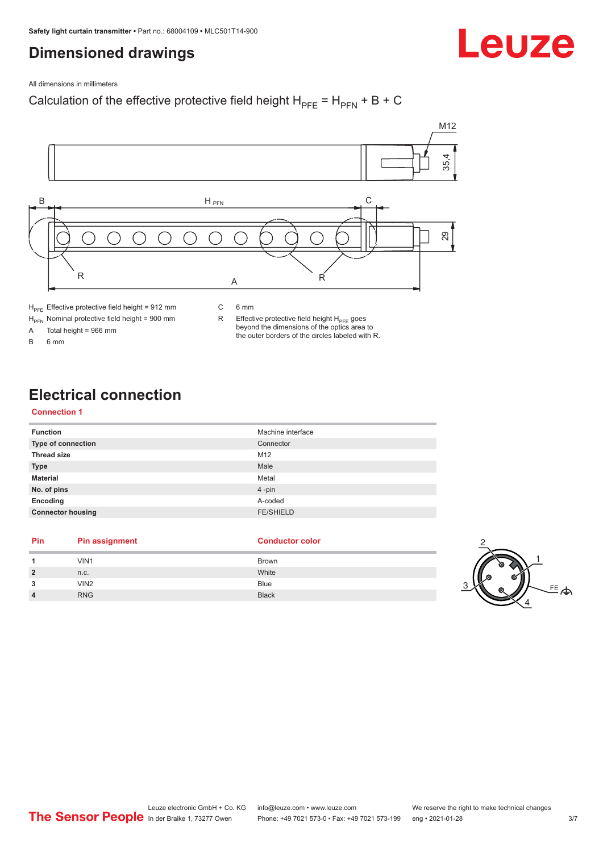## <span id="page-2-0"></span>**Dimensioned drawings**



All dimensions in millimeters

### Calculation of the effective protective field height  $H_{PFE} = H_{PFN} + B + C$



 $H_{\text{PFE}}$  Effective protective field height = 912 mm

 $H_{\text{PFN}}$  Nominal protective field height = 900 mm<br>A Total height = 966 mm

Total height =  $966$  mm

B 6 mm

R Effective protective field height  $H_{PFE}$  goes beyond the dimensions of the optics area to the outer borders of the circles labeled with R.

# **Electrical connection**

#### **Connection 1**

| <b>Function</b>           | Machine interface |
|---------------------------|-------------------|
| <b>Type of connection</b> | Connector         |
| <b>Thread size</b>        | M12               |
| <b>Type</b>               | Male              |
| <b>Material</b>           | Metal             |
| No. of pins               | 4-pin             |
| Encoding                  | A-coded           |
| <b>Connector housing</b>  | <b>FE/SHIELD</b>  |

#### **Pin Pin assignment Conductor Conductor Color**

#### **1 1** VIN1 Brown **2** n.c. White **3** VIN2 Blue **4** RNG Black 3

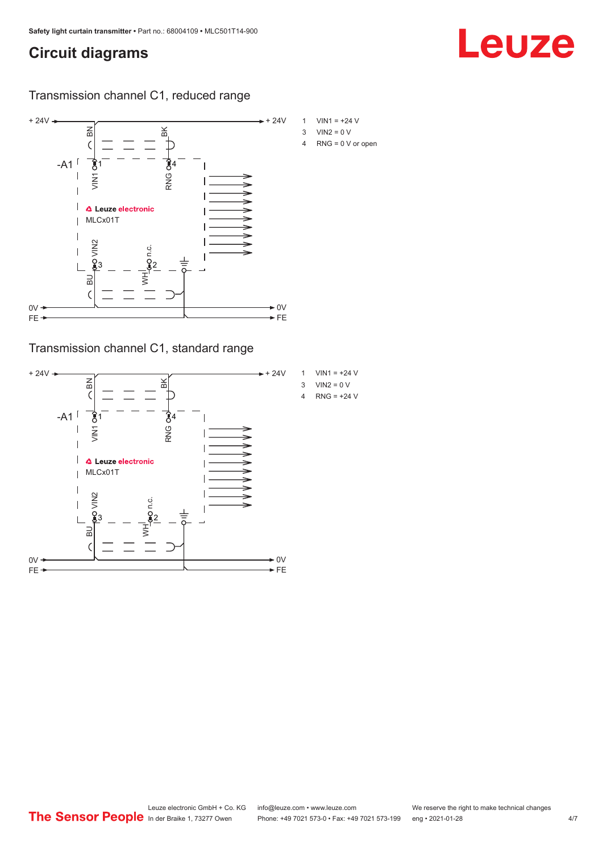# <span id="page-3-0"></span>**Circuit diagrams**

### Transmission channel C1, reduced range



Transmission channel C1, standard range



- 
-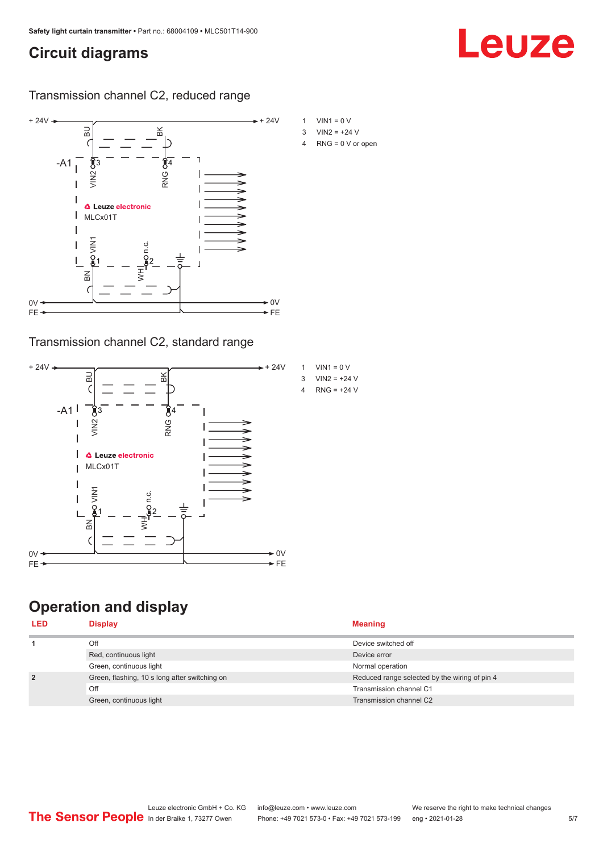# <span id="page-4-0"></span>**Circuit diagrams**

### Transmission channel C2, reduced range



### Transmission channel C2, standard range



# **Operation and display**

| <b>LED</b>     | <b>Display</b>                                | <b>Meaning</b>                                |
|----------------|-----------------------------------------------|-----------------------------------------------|
|                | Off                                           | Device switched off                           |
|                | Red, continuous light                         | Device error                                  |
|                | Green, continuous light                       | Normal operation                              |
| $\overline{2}$ | Green, flashing, 10 s long after switching on | Reduced range selected by the wiring of pin 4 |
|                | Off                                           | Transmission channel C1                       |
|                | Green, continuous light                       | Transmission channel C2                       |

# Leuze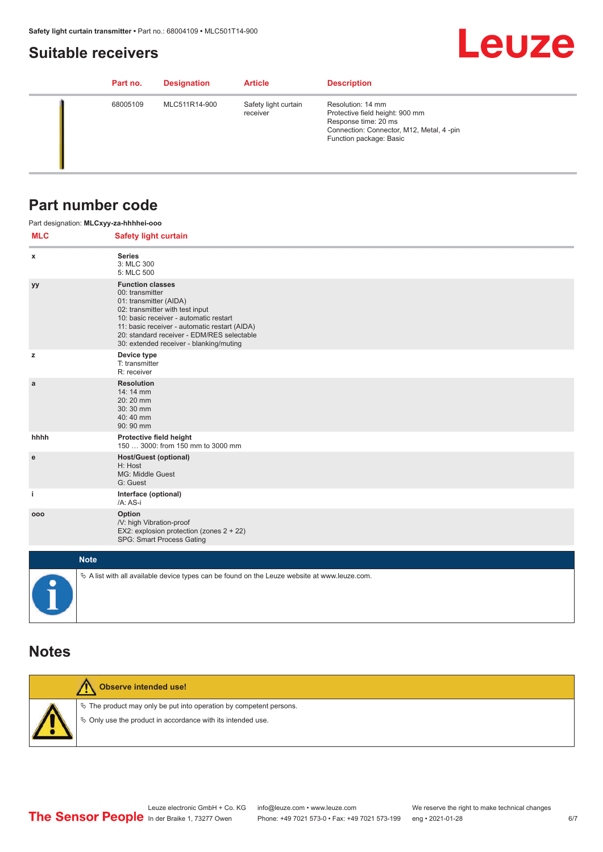## <span id="page-5-0"></span>**Suitable receivers**

# **Leuze**

|  | Part no. | <b>Designation</b> | <b>Article</b>                   | <b>Description</b>                                                                                                                                  |
|--|----------|--------------------|----------------------------------|-----------------------------------------------------------------------------------------------------------------------------------------------------|
|  | 68005109 | MLC511R14-900      | Safety light curtain<br>receiver | Resolution: 14 mm<br>Protective field height: 900 mm<br>Response time: 20 ms<br>Connection: Connector, M12, Metal, 4-pin<br>Function package: Basic |

## **Part number code**

|            | Part designation: MLCxyy-za-hhhhei-ooo                                                                                                                                                                                                                                                      |
|------------|---------------------------------------------------------------------------------------------------------------------------------------------------------------------------------------------------------------------------------------------------------------------------------------------|
| <b>MLC</b> | <b>Safety light curtain</b>                                                                                                                                                                                                                                                                 |
| x          | <b>Series</b><br>3: MLC 300<br>5: MLC 500                                                                                                                                                                                                                                                   |
| уу         | <b>Function classes</b><br>00: transmitter<br>01: transmitter (AIDA)<br>02: transmitter with test input<br>10: basic receiver - automatic restart<br>11: basic receiver - automatic restart (AIDA)<br>20: standard receiver - EDM/RES selectable<br>30: extended receiver - blanking/muting |
| z          | Device type<br>T: transmitter<br>R: receiver                                                                                                                                                                                                                                                |
| a          | <b>Resolution</b><br>14: 14 mm<br>20:20 mm<br>30:30 mm<br>40:40 mm<br>90: 90 mm                                                                                                                                                                                                             |
| hhhh       | Protective field height<br>150  3000: from 150 mm to 3000 mm                                                                                                                                                                                                                                |
| e          | Host/Guest (optional)<br>H: Host<br>MG: Middle Guest<br>G: Guest                                                                                                                                                                                                                            |
| j.         | Interface (optional)<br>/A: AS-i                                                                                                                                                                                                                                                            |
| 000        | Option<br>/V: high Vibration-proof<br>EX2: explosion protection (zones 2 + 22)<br>SPG: Smart Process Gating                                                                                                                                                                                 |
|            | <b>Note</b>                                                                                                                                                                                                                                                                                 |
|            | $\&$ A list with all available device types can be found on the Leuze website at www.leuze.com.                                                                                                                                                                                             |

## **Notes**

| Observe intended use!                                                                                                                |
|--------------------------------------------------------------------------------------------------------------------------------------|
| $\&$ The product may only be put into operation by competent persons.<br>§ Only use the product in accordance with its intended use. |